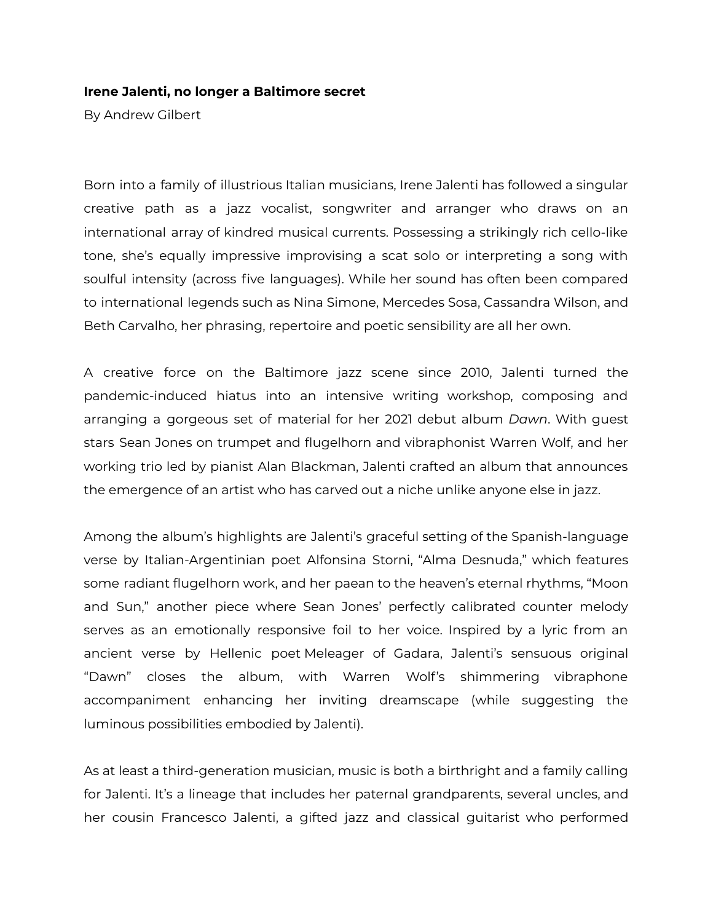## **Irene Jalenti, no longer a Baltimore secret**

By Andrew Gilbert

Born into a family of illustrious Italian musicians, Irene Jalenti has followed a singular creative path as a jazz vocalist, songwriter and arranger who draws on an international array of kindred musical currents. Possessing a strikingly rich cello-like tone, she's equally impressive improvising a scat solo or interpreting a song with soulful intensity (across five languages). While her sound has often been compared to international legends such as Nina Simone, Mercedes Sosa, Cassandra Wilson, and Beth Carvalho, her phrasing, repertoire and poetic sensibility are all her own.

A creative force on the Baltimore jazz scene since 2010, Jalenti turned the pandemic-induced hiatus into an intensive writing workshop, composing and arranging a gorgeous set of material for her 2021 debut album *Dawn*. With guest stars Sean Jones on trumpet and flugelhorn and vibraphonist Warren Wolf, and her working trio led by pianist Alan Blackman, Jalenti crafted an album that announces the emergence of an artist who has carved out a niche unlike anyone else in jazz.

Among the album's highlights are Jalenti's graceful setting of the Spanish-language verse by Italian-Argentinian poet Alfonsina Storni, "Alma Desnuda," which features some radiant flugelhorn work, and her paean to the heaven's eternal rhythms, "Moon and Sun," another piece where Sean Jones' perfectly calibrated counter melody serves as an emotionally responsive foil to her voice. Inspired by a lyric from an ancient verse by Hellenic poet Meleager of Gadara, Jalenti's sensuous original "Dawn" closes the album, with Warren Wolf's shimmering vibraphone accompaniment enhancing her inviting dreamscape (while suggesting the luminous possibilities embodied by Jalenti).

As at least a third-generation musician, music is both a birthright and a family calling for Jalenti. It's a lineage that includes her paternal grandparents, several uncles, and her cousin Francesco Jalenti, a gifted jazz and classical guitarist who performed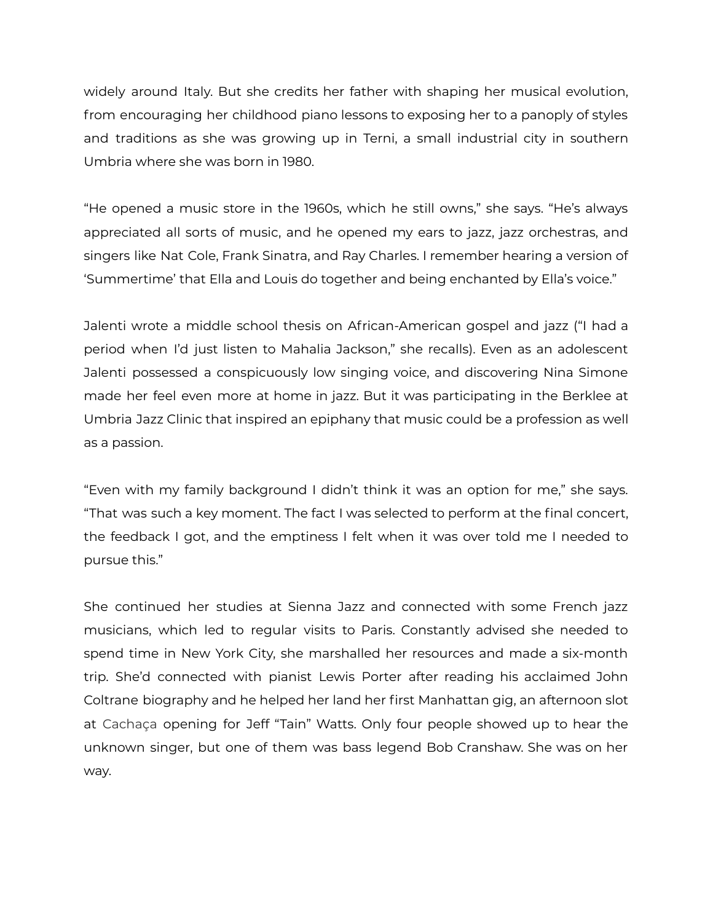widely around Italy. But she credits her father with shaping her musical evolution, from encouraging her childhood piano lessons to exposing her to a panoply of styles and traditions as she was growing up in Terni, a small industrial city in southern Umbria where she was born in 1980.

"He opened a music store in the 1960s, which he still owns," she says. "He's always appreciated all sorts of music, and he opened my ears to jazz, jazz orchestras, and singers like Nat Cole, Frank Sinatra, and Ray Charles. I remember hearing a version of 'Summertime' that Ella and Louis do together and being enchanted by Ella's voice."

Jalenti wrote a middle school thesis on African-American gospel and jazz ("I had a period when I'd just listen to Mahalia Jackson," she recalls). Even as an adolescent Jalenti possessed a conspicuously low singing voice, and discovering Nina Simone made her feel even more at home in jazz. But it was participating in the Berklee at Umbria Jazz Clinic that inspired an epiphany that music could be a profession as well as a passion.

"Even with my family background I didn't think it was an option for me," she says. "That was such a key moment. The fact I was selected to perform at the final concert, the feedback I got, and the emptiness I felt when it was over told me I needed to pursue this."

She continued her studies at Sienna Jazz and connected with some French jazz musicians, which led to regular visits to Paris. Constantly advised she needed to spend time in New York City, she marshalled her resources and made a six-month trip. She'd connected with pianist Lewis Porter after reading his acclaimed John Coltrane biography and he helped her land her first Manhattan gig, an afternoon slot at Cachaça opening for Jeff "Tain" Watts. Only four people showed up to hear the unknown singer, but one of them was bass legend Bob Cranshaw. She was on her way.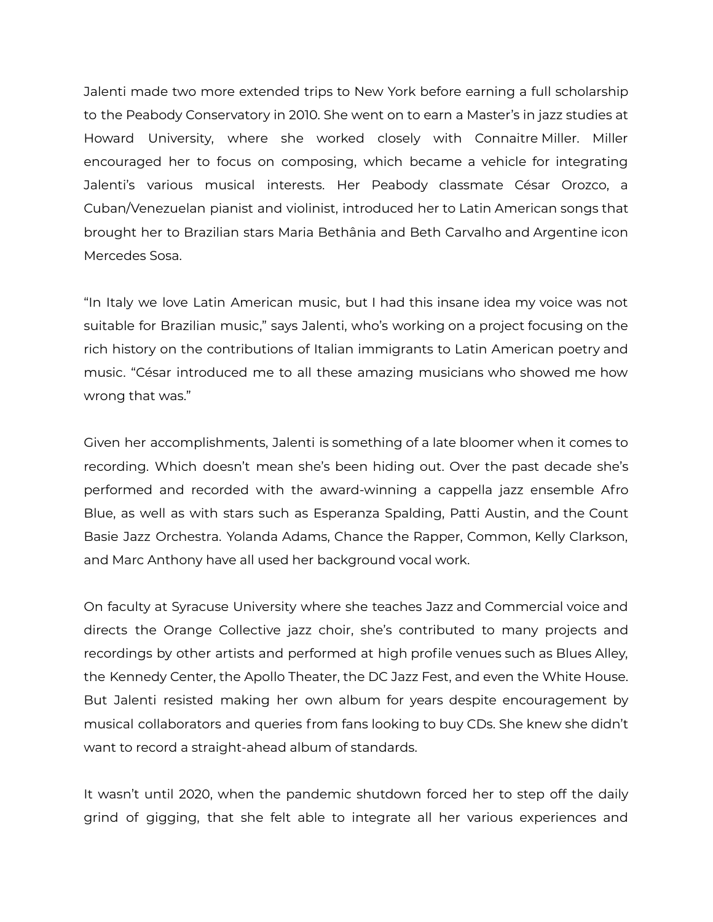Jalenti made two more extended trips to New York before earning a full scholarship to the Peabody Conservatory in 2010. She went on to earn a Master's in jazz studies at Howard University, where she worked closely with Connaitre Miller. Miller encouraged her to focus on composing, which became a vehicle for integrating Jalenti's various musical interests. Her Peabody classmate César Orozco, a Cuban/Venezuelan pianist and violinist, introduced her to Latin American songs that brought her to Brazilian stars Maria Bethânia and Beth Carvalho and Argentine icon Mercedes Sosa.

"In Italy we love Latin American music, but I had this insane idea my voice was not suitable for Brazilian music," says Jalenti, who's working on a project focusing on the rich history on the contributions of Italian immigrants to Latin American poetry and music. "César introduced me to all these amazing musicians who showed me how wrong that was."

Given her accomplishments, Jalenti is something of a late bloomer when it comes to recording. Which doesn't mean she's been hiding out. Over the past decade she's performed and recorded with the award-winning a cappella jazz ensemble Afro Blue, as well as with stars such as Esperanza Spalding, Patti Austin, and the Count Basie Jazz Orchestra. Yolanda Adams, Chance the Rapper, Common, Kelly Clarkson, and Marc Anthony have all used her background vocal work.

On faculty at Syracuse University where she teaches Jazz and Commercial voice and directs the Orange Collective jazz choir, she's contributed to many projects and recordings by other artists and performed at high profile venues such as Blues Alley, the Kennedy Center, the Apollo Theater, the DC Jazz Fest, and even the White House. But Jalenti resisted making her own album for years despite encouragement by musical collaborators and queries from fans looking to buy CDs. She knew she didn't want to record a straight-ahead album of standards.

It wasn't until 2020, when the pandemic shutdown forced her to step off the daily grind of gigging, that she felt able to integrate all her various experiences and